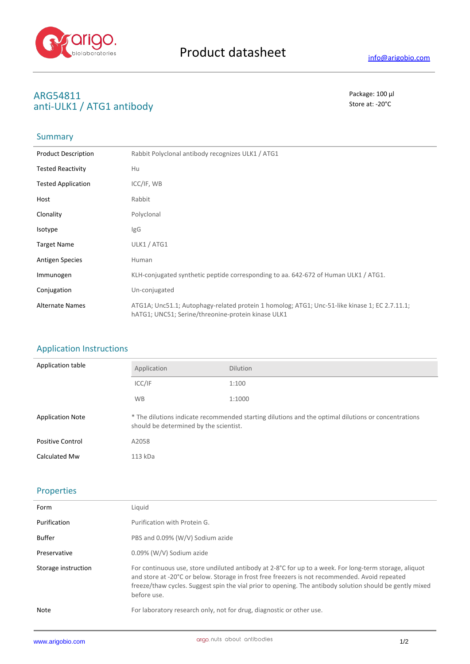

## **ARG54811** Package: 100 μl **anti-ULK1 / ATG1 antibody** Store at: -20°C

# Summary

| <b>Product Description</b> | Rabbit Polyclonal antibody recognizes ULK1 / ATG1                                                                                                   |
|----------------------------|-----------------------------------------------------------------------------------------------------------------------------------------------------|
| <b>Tested Reactivity</b>   | Hu                                                                                                                                                  |
| <b>Tested Application</b>  | ICC/IF, WB                                                                                                                                          |
| Host                       | Rabbit                                                                                                                                              |
| Clonality                  | Polyclonal                                                                                                                                          |
| <b>Isotype</b>             | <b>IgG</b>                                                                                                                                          |
| <b>Target Name</b>         | ULK1 / ATG1                                                                                                                                         |
| <b>Antigen Species</b>     | Human                                                                                                                                               |
| Immunogen                  | KLH-conjugated synthetic peptide corresponding to aa. 642-672 of Human ULK1 / ATG1.                                                                 |
| Conjugation                | Un-conjugated                                                                                                                                       |
| <b>Alternate Names</b>     | ATG1A; Unc51.1; Autophagy-related protein 1 homolog; ATG1; Unc-51-like kinase 1; EC 2.7.11.1;<br>hATG1; UNC51; Serine/threonine-protein kinase ULK1 |

### Application Instructions

| Application table       | Application                            | <b>Dilution</b>                                                                                     |
|-------------------------|----------------------------------------|-----------------------------------------------------------------------------------------------------|
|                         | ICC/IF                                 | 1:100                                                                                               |
|                         | <b>WB</b>                              | 1:1000                                                                                              |
| <b>Application Note</b> | should be determined by the scientist. | * The dilutions indicate recommended starting dilutions and the optimal dilutions or concentrations |
| <b>Positive Control</b> | A2058                                  |                                                                                                     |
| Calculated Mw           | 113 kDa                                |                                                                                                     |

## Properties

| Form                | Liquid                                                                                                                                                                                                                                                                                                                              |
|---------------------|-------------------------------------------------------------------------------------------------------------------------------------------------------------------------------------------------------------------------------------------------------------------------------------------------------------------------------------|
| Purification        | Purification with Protein G.                                                                                                                                                                                                                                                                                                        |
| <b>Buffer</b>       | PBS and 0.09% (W/V) Sodium azide                                                                                                                                                                                                                                                                                                    |
| Preservative        | 0.09% (W/V) Sodium azide                                                                                                                                                                                                                                                                                                            |
| Storage instruction | For continuous use, store undiluted antibody at 2-8°C for up to a week. For long-term storage, aliquot<br>and store at -20°C or below. Storage in frost free freezers is not recommended. Avoid repeated<br>freeze/thaw cycles. Suggest spin the vial prior to opening. The antibody solution should be gently mixed<br>before use. |
| Note                | For laboratory research only, not for drug, diagnostic or other use.                                                                                                                                                                                                                                                                |